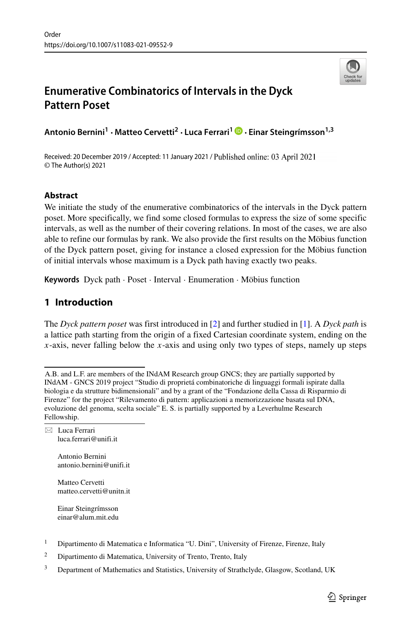

# **Enumerative Combinatorics of Intervals in the Dyck Pattern Poset**

**Antonio Bernini1 · Matteo Cervetti<sup>2</sup> · Luca Ferrari1 · Einar Steingr´ımsson1,3**

Received: 20 December 2019 / Accepted: 11 January 2021 / Published online: 03 April 2021 © The Author(s) 2021

## **Abstract**

We initiate the study of the enumerative combinatorics of the intervals in the Dyck pattern poset. More specifically, we find some closed formulas to express the size of some specific intervals, as well as the number of their covering relations. In most of the cases, we are also able to refine our formulas by rank. We also provide the first results on the Möbius function of the Dyck pattern poset, giving for instance a closed expression for the Mobius function ¨ of initial intervals whose maximum is a Dyck path having exactly two peaks.

Keywords Dyck path · Poset · Interval · Enumeration · Möbius function

## **1 Introduction**

The *Dyck pattern poset* was first introduced in [\[2\]](#page-14-0) and further studied in [\[1\]](#page-14-1). A *Dyck path* is a lattice path starting from the origin of a fixed Cartesian coordinate system, ending on the *x*-axis, never falling below the *x*-axis and using only two types of steps, namely up steps

- Antonio Bernini [antonio.bernini@unifi.it](mailto: antonio.bernini@unifi.it)
- Matteo Cervetti [matteo.cervetti@unitn.it](mailto: matteo.cervetti@unitn.it)

Einar Steingrímsson [einar@alum.mit.edu](mailto: einar@alum.mit.edu)

- <sup>1</sup> Dipartimento di Matematica e Informatica "U. Dini", University of Firenze, Firenze, Italy
- <sup>2</sup> Dipartimento di Matematica, University of Trento, Trento, Italy
- <sup>3</sup> Department of Mathematics and Statistics, University of Strathclyde, Glasgow, Scotland, UK

A.B. and L.F. are members of the INdAM Research group GNCS; they are partially supported by INdAM - GNCS 2019 project "Studio di proprieta combinatoriche di linguaggi formali ispirate dalla ´ biologia e da strutture bidimensionali" and by a grant of the "Fondazione della Cassa di Risparmio di Firenze" for the project "Rilevamento di pattern: applicazioni a memorizzazione basata sul DNA, evoluzione del genoma, scelta sociale" E. S. is partially supported by a Leverhulme Research Fellowship.

<sup>-</sup> Luca Ferrari [luca.ferrari@unifi.it](mailto: luca.ferrari@unifi.it)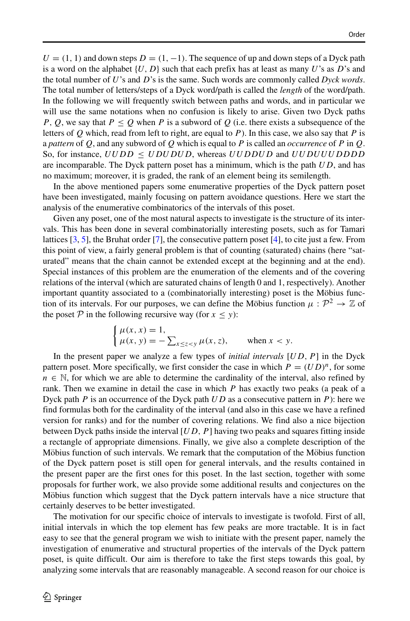$U = (1, 1)$  and down steps  $D = (1, -1)$ . The sequence of up and down steps of a Dyck path is a word on the alphabet  $\{U, D\}$  such that each prefix has at least as many *U*'s as *D*'s and the total number of *U*'s and *D*'s is the same. Such words are commonly called *Dyck words*. The total number of letters/steps of a Dyck word/path is called the *length* of the word/path. In the following we will frequently switch between paths and words, and in particular we will use the same notations when no confusion is likely to arise. Given two Dyck paths *P, Q,* we say that  $P \leq Q$  when *P* is a subword of *Q* (i.e. there exists a subsequence of the letters of *Q* which, read from left to right, are equal to *P*). In this case, we also say that *P* is a *pattern* of *Q*, and any subword of *Q* which is equal to *P* is called an *occurrence* of *P* in *Q*. So, for instance,  $UUDD \leq UDUDUD$ , whereas  $UUDDUD$  and  $UUDUUUDDDD$ are incomparable. The Dyck pattern poset has a minimum, which is the path *UD*, and has no maximum; moreover, it is graded, the rank of an element being its semilength.

In the above mentioned papers some enumerative properties of the Dyck pattern poset have been investigated, mainly focusing on pattern avoidance questions. Here we start the analysis of the enumerative combinatorics of the intervals of this poset.

Given any poset, one of the most natural aspects to investigate is the structure of its intervals. This has been done in several combinatorially interesting posets, such as for Tamari lattices [\[3,](#page-14-2) [5\]](#page-14-3), the Bruhat order [\[7\]](#page-14-4), the consecutive pattern poset [\[4\]](#page-14-5), to cite just a few. From this point of view, a fairly general problem is that of counting (saturated) chains (here "saturated" means that the chain cannot be extended except at the beginning and at the end). Special instances of this problem are the enumeration of the elements and of the covering relations of the interval (which are saturated chains of length 0 and 1, respectively). Another important quantity associated to a (combinatorially interesting) poset is the Möbius function of its intervals. For our purposes, we can define the Möbius function  $\mu : \mathcal{P}^2 \to \mathbb{Z}$  of the poset  $P$  in the following recursive way (for  $x \le y$ ):

$$
\begin{cases} \mu(x, x) = 1, \\ \mu(x, y) = -\sum_{x \le z < y} \mu(x, z), \quad \text{when } x < y. \end{cases}
$$

In the present paper we analyze a few types of *initial intervals* [*UD, P*] in the Dyck pattern poset. More specifically, we first consider the case in which  $P = (UD)^n$ , for some  $n \in \mathbb{N}$ , for which we are able to determine the cardinality of the interval, also refined by rank. Then we examine in detail the case in which *P* has exactly two peaks (a peak of a Dyck path *P* is an occurrence of the Dyck path *UD* as a consecutive pattern in *P*): here we find formulas both for the cardinality of the interval (and also in this case we have a refined version for ranks) and for the number of covering relations. We find also a nice bijection between Dyck paths inside the interval [*UD, P*] having two peaks and squares fitting inside a rectangle of appropriate dimensions. Finally, we give also a complete description of the Möbius function of such intervals. We remark that the computation of the Möbius function of the Dyck pattern poset is still open for general intervals, and the results contained in the present paper are the first ones for this poset. In the last section, together with some proposals for further work, we also provide some additional results and conjectures on the Möbius function which suggest that the Dyck pattern intervals have a nice structure that certainly deserves to be better investigated.

The motivation for our specific choice of intervals to investigate is twofold. First of all, initial intervals in which the top element has few peaks are more tractable. It is in fact easy to see that the general program we wish to initiate with the present paper, namely the investigation of enumerative and structural properties of the intervals of the Dyck pattern poset, is quite difficult. Our aim is therefore to take the first steps towards this goal, by analyzing some intervals that are reasonably manageable. A second reason for our choice is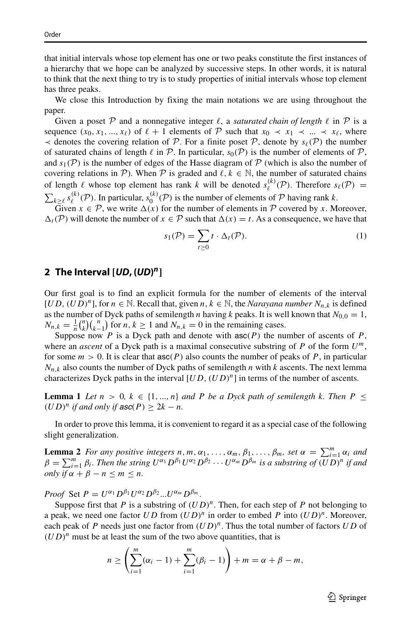that initial intervals whose top element has one or two peaks constitute the first instances of a hierarchy that we hope can be analyzed by successive steps. In other words, it is natural to think that the next thing to try is to study properties of initial intervals whose top element has three peaks.

We close this Introduction by fixing the main notations we are using throughout the paper.

Given a poset P and a nonnegative integer  $\ell$ , a *saturated chain of length*  $\ell$  in P is a sequence  $(x_0, x_1, ..., x_\ell)$  of  $\ell + 1$  elements of P such that  $x_0 \prec x_1 \prec ... \prec x_\ell$ , where  $\prec$  denotes the covering relation of  $\mathcal{P}$ . For a finite poset  $\mathcal{P}$ , denote by  $s_{\ell}(\mathcal{P})$  the number of saturated chains of length  $\ell$  in  $\mathcal{P}$ . In particular,  $s_0(\mathcal{P})$  is the number of elements of  $\mathcal{P}$ , and  $s_1(\mathcal{P})$  is the number of edges of the Hasse diagram of  $\mathcal P$  (which is also the number of covering relations in P). When P is graded and  $\ell, k \in \mathbb{N}$ , the number of saturated chains of length  $\ell$  whose top element has rank  $k$  will be denoted  $s_{\ell}^{(k)}(\mathcal{P})$ . Therefore  $s_{\ell}(\mathcal{P}) =$  $\sum_{k \geq \ell} s_{\ell}^{(k)}(\mathcal{P})$ . In particular,  $s_{0}^{(k)}(\mathcal{P})$  is the number of elements of  $\mathcal P$  having rank *k*.

Given  $x \in \mathcal{P}$ , we write  $\Delta(x)$  for the number of elements in  $\mathcal P$  covered by *x*. Moreover,  $\Delta_t(\mathcal{P})$  will denote the number of  $x \in \mathcal{P}$  such that  $\Delta(x) = t$ . As a consequence, we have that

<span id="page-2-0"></span>
$$
s_1(\mathcal{P}) = \sum_{t \ge 0} t \cdot \Delta_t(\mathcal{P}). \tag{1}
$$

# **2 The Interval [***UD***, (***UD***)** *n***]**

Our first goal is to find an explicit formula for the number of elements of the interval  $[UD, (UD)^n]$ , for  $n \in \mathbb{N}$ . Recall that, given  $n, k \in \mathbb{N}$ , the *Narayana number*  $N_{n,k}$  is defined as the number of Dyck paths of semilength *n* having *k* peaks. It is well known that  $N_{0,0} = 1$ ,  $N_{n,k} = \frac{1}{n} {n \choose k} {n \choose k-1}$  for  $n, k \ge 1$  and  $N_{n,k} = 0$  in the remaining cases.

Suppose now *P* is a Dyck path and denote with  $asc(P)$  the number of ascents of *P*, where an *ascent* of a Dyck path is a maximal consecutive substring of *P* of the form *Um*, for some  $m > 0$ . It is clear that  $asc(P)$  also counts the number of peaks of P, in particular  $N_{n,k}$  also counts the number of Dyck paths of semilength *n* with *k* ascents. The next lemma characterizes Dyck paths in the interval  $[UD, (UD)^n]$  in terms of the number of ascents.

**Lemma 1** *Let*  $n > 0, k \in \{1, ..., n\}$  *and P be a Dyck path of semilength k. Then*  $P \leq$  $(UD)^n$  *if and only if*  $asc(P) \geq 2k - n$ *.* 

In order to prove this lemma, it is convenient to regard it as a special case of the following slight generalization.

**Lemma 2** *For any positive integers*  $n, m, \alpha_1, \ldots, \alpha_m, \beta_1, \ldots, \beta_m$ *, set*  $\alpha = \sum_{i=1}^m \alpha_i$  *and*  $\sum_{i=1}^m \alpha_i$  *and*  $\beta = \sum_{i=1}^{m} \beta_i$ . Then the string  $U^{\alpha_1}D^{\beta_1}U^{\alpha_2}D^{\beta_2}\cdots U^{\alpha_m}D^{\beta_m}$  is a substring of  $(\overline{UD})^n$  if and *only if*  $\alpha + \beta - n \le m \le n$ *.* 

*Proof* Set  $P = U^{\alpha_1} D^{\beta_1} U^{\alpha_2} D^{\beta_2} ... U^{\alpha_m} D^{\beta_m}$ .

Suppose first that *P* is a substring of  $(UD)^n$ . Then, for each step of *P* not belonging to a peak, we need one factor  $UD$  from  $(UD)^n$  in order to embed P into  $(UD)^n$ . Moreover, each peak of *P* needs just one factor from *(UD)n*. Thus the total number of factors *UD* of  $(UD)^n$  must be at least the sum of the two above quantities, that is

$$
n \ge \left(\sum_{i=1}^{m} (\alpha_i - 1) + \sum_{i=1}^{m} (\beta_i - 1)\right) + m = \alpha + \beta - m,
$$

 $\textcircled{2}$  Springer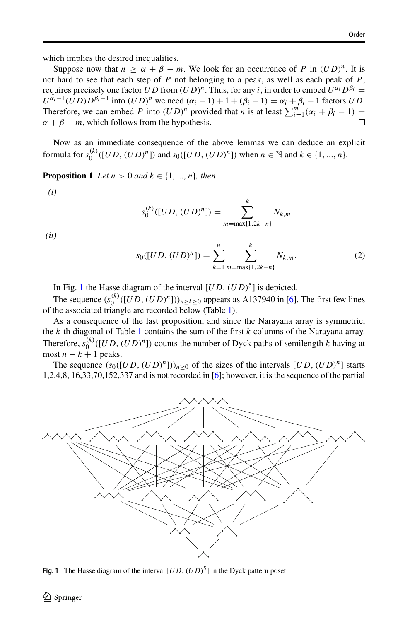which implies the desired inequalities.

Suppose now that  $n \ge \alpha + \beta - m$ . We look for an occurrence of *P* in  $(UD)^n$ . It is not hard to see that each step of *P* not belonging to a peak, as well as each peak of *P*, requires precisely one factor *UD* from  $(UD)^n$ . Thus, for any *i*, in order to embed  $U^{\alpha_i}D^{\beta_i} =$  $U^{\alpha_i-1}(\overline{U}D)D^{\beta_i-1}$  into  $(UD)^n$  we need  $(\alpha_i - 1) + 1 + (\beta_i - 1) = \alpha_i + \beta_i - 1$  factors *UD*. Therefore, we can embed *P* into  $(UD)^n$  provided that *n* is at least  $\sum_{i=1}^m (\alpha_i + \beta_i - 1) =$  $\alpha + \beta - m$ , which follows from the hypothesis.

Now as an immediate consequence of the above lemmas we can deduce an explicit formula for  $s_0^{(k)}([UD, (UD)^n])$  and  $s_0([UD, (UD)^n])$  when  $n \in \mathbb{N}$  and  $k \in \{1, ..., n\}$ .

**Proposition 1** *Let*  $n > 0$  *and*  $k \in \{1, ..., n\}$ *, then* 

*(i)*

$$
s_0^{(k)}([UD, (UD)^n]) = \sum_{m=\max\{1, 2k-n\}}^k N_{k,m}
$$

*(ii)*

$$
s_0([UD, (UD)^n]) = \sum_{k=1}^n \sum_{m=\max\{1, 2k-n\}}^k N_{k,m}.
$$
 (2)

In Fig. [1](#page-3-0) the Hasse diagram of the interval  $[UD, (UD)^5]$  is depicted.

The sequence  $(s_0^{(k)}([UD, (UD)^n]))_{n \ge k \ge 0}$  appears as A137940 in [\[6\]](#page-14-6). The first few lines of the associated triangle are recorded below (Table [1\)](#page-4-0).

As a consequence of the last proposition, and since the Narayana array is symmetric, the *k*-th diagonal of Table [1](#page-4-0) contains the sum of the first *k* columns of the Narayana array. Therefore,  $s_0^{(k)}([UD, (UD)^n])$  counts the number of Dyck paths of semilength *k* having at most  $n - k + 1$  peaks.

The sequence  $(s_0([UD, (UD)^n]))_{n>0}$  of the sizes of the intervals  $[UD, (UD)^n]$  starts 1,2,4,8, 16,33,70,152,337 and is not recorded in [\[6\]](#page-14-6); however, it is the sequence of the partial

<span id="page-3-0"></span>

**Fig. 1** The Hasse diagram of the interval  $[UD, (UD)^5]$  in the Dyck pattern poset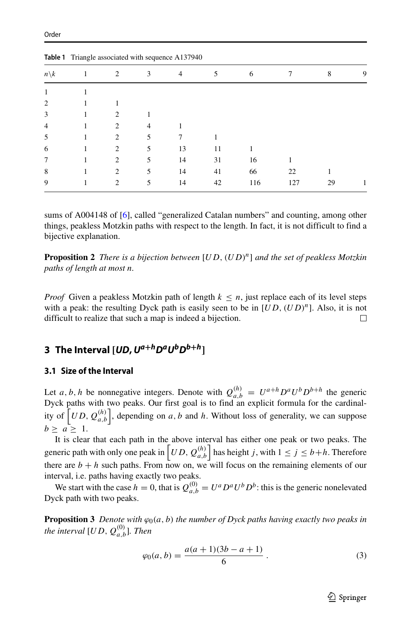|                 | Table 1 Triangle associated with sequence A137940 |                               |   |                |    |     |     |    |   |
|-----------------|---------------------------------------------------|-------------------------------|---|----------------|----|-----|-----|----|---|
| $n\backslash k$ |                                                   | 2                             | 3 | $\overline{4}$ | 5  | 6   | 7   | 8  | 9 |
|                 |                                                   |                               |   |                |    |     |     |    |   |
| $\overline{2}$  |                                                   |                               |   |                |    |     |     |    |   |
| 3               |                                                   | 2                             |   |                |    |     |     |    |   |
| $\overline{4}$  |                                                   | $\mathfrak{D}_{\mathfrak{p}}$ | 4 |                |    |     |     |    |   |
| 5               |                                                   | $\mathfrak{D}_{\mathfrak{p}}$ |   |                |    |     |     |    |   |
| 6               |                                                   | 2                             | 5 | 13             | 11 |     |     |    |   |
| 7               |                                                   | 2                             | 5 | 14             | 31 | 16  |     |    |   |
| 8               |                                                   | 2                             | 5 | 14             | 41 | 66  | 22  |    |   |
| 9               |                                                   | 2                             | 5 | 14             | 42 | 116 | 127 | 29 |   |

<span id="page-4-0"></span>

sums of A004148 of [\[6\]](#page-14-6), called "generalized Catalan numbers" and counting, among other things, peakless Motzkin paths with respect to the length. In fact, it is not difficult to find a bijective explanation.

**Proposition 2** *There is a bijection between* [*UD, (UD)n*] *and the set of peakless Motzkin paths of length at most n.*

*Proof* Given a peakless Motzkin path of length  $k \leq n$ , just replace each of its level steps with a peak: the resulting Dyck path is easily seen to be in  $[UD, (UD)^n]$ . Also, it is not difficult to realize that such a map is indeed a bijection. difficult to realize that such a map is indeed a bijection.

## **3** The Interval  $[UD, U^{a+h}D^aU^bD^{b+h}]$

### **3.1 Size of the Interval**

Let *a*, *b*, *h* be nonnegative integers. Denote with  $Q_{a,b}^{(h)} = U^{a+h}D^aU^bD^{b+h}$  the generic Dyck paths with two peaks. Our first goal is to find an explicit formula for the cardinality of  $\left[UD, Q_{a,b}^{(h)}\right]$ , depending on *a*, *b* and *h*. Without loss of generality, we can suppose  $b \geq a \geq 1$ .

It is clear that each path in the above interval has either one peak or two peaks. The generic path with only one peak in  $\left[UD, Q_{a,b}^{(h)}\right]$  has height *j*, with  $1 \le j \le b+h$ . Therefore there are  $b + h$  such paths. From now on, we will focus on the remaining elements of our interval, i.e. paths having exactly two peaks.

We start with the case  $h = 0$ , that is  $Q_{a,b}^{(0)} = U^a D^a U^b D^b$ : this is the generic nonelevated Dyck path with two peaks.

**Proposition 3** *Denote with*  $\varphi_0(a, b)$  *the number of Dyck paths having exactly two peaks in the interval*  $[UD, Q_{a,b}^{(0)}]$ *. Then* 

$$
\varphi_0(a,b) = \frac{a(a+1)(3b-a+1)}{6} \,. \tag{3}
$$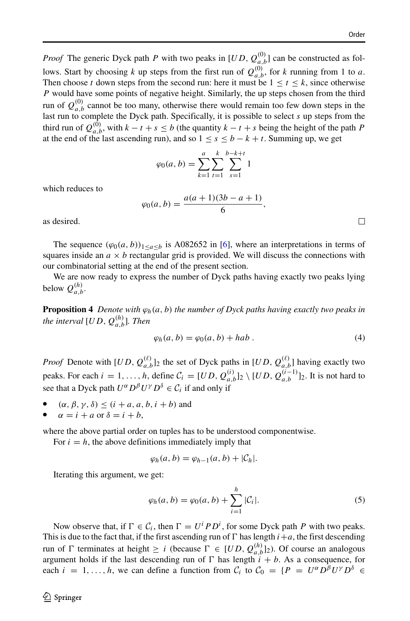*Proof* The generic Dyck path *P* with two peaks in  $[UD, Q_{a,b}^{(0)}]$  can be constructed as follows. Start by choosing *k* up steps from the first run of  $Q_{a,b}^{(0)}$ , for *k* running from 1 to *a*. Then choose *t* down steps from the second run: here it must be  $1 \le t \le k$ , since otherwise *P* would have some points of negative height. Similarly, the up steps chosen from the third run of  $Q_{a,b}^{(0)}$  cannot be too many, otherwise there would remain too few down steps in the last run to complete the Dyck path. Specifically, it is possible to select *s* up steps from the third run of  $Q_{a,b}^{(0)}$ , with  $k - t + s \le b$  (the quantity  $k - t + s$  being the height of the path *P* at the end of the last ascending run), and so  $1 \le s \le b - k + t$ . Summing up, we get

$$
\varphi_0(a, b) = \sum_{k=1}^a \sum_{t=1}^k \sum_{s=1}^{b-k+t} 1
$$

which reduces to

$$
\varphi_0(a,b) = \frac{a(a+1)(3b-a+1)}{6},
$$

as desired.

The sequence  $(\varphi_0(a, b))_{1 \leq a \leq b}$  is A082652 in [\[6\]](#page-14-6), where an interpretations in terms of squares inside an  $a \times b$  rectangular grid is provided. We will discuss the connections with our combinatorial setting at the end of the present section.

We are now ready to express the number of Dyck paths having exactly two peaks lying below  $Q_{a,b}^{(h)}$ .

**Proposition 4** *Denote with*  $\varphi_h(a, b)$  *the number of Dyck paths having exactly two peaks in the interval*  $[UD, Q_{a,b}^{(h)}]$ *. Then* 

<span id="page-5-1"></span>
$$
\varphi_h(a,b) = \varphi_0(a,b) + hab.
$$
\n(4)

*Proof* Denote with  $[UD, Q_{a,b}^{(\ell)}]_2$  the set of Dyck paths in  $[UD, Q_{a,b}^{(\ell)}]$  having exactly two peaks. For each  $i = 1, ..., h$ , define  $C_i = [UD, Q_{a,b}^{(i)}]_2 \setminus [UD, Q_{a,b}^{(i-1)}]_2$ . It is not hard to see that a Dyck path  $U^{\alpha} D^{\beta} U^{\gamma} D^{\delta} \in C_i$  if and only if

- $(\alpha, \beta, \gamma, \delta) \leq (i + a, a, b, i + b)$  and
- $\alpha = i + a$  or  $\delta = i + b$ ,

where the above partial order on tuples has to be understood componentwise.

For  $i = h$ , the above definitions immediately imply that

$$
\varphi_h(a,b)=\varphi_{h-1}(a,b)+|\mathcal{C}_h|.
$$

Iterating this argument, we get:

<span id="page-5-0"></span>
$$
\varphi_h(a,b) = \varphi_0(a,b) + \sum_{i=1}^h |\mathcal{C}_i|.
$$
\n(5)

Now observe that, if  $\Gamma \in C_i$ , then  $\Gamma = U^i P D^i$ , for some Dyck path *P* with two peaks. This is due to the fact that, if the first ascending run of  $\Gamma$  has length  $i+a$ , the first descending run of  $\Gamma$  terminates at height  $\geq i$  (because  $\Gamma \in [UD, Q_{a,b}^{(h)}]_2$ ). Of course an analogous argument holds if the last descending run of  $\Gamma$  has length  $i + b$ . As a consequence, for each  $i = 1, ..., h$ , we can define a function from  $C_i$  to  $C_0 = {P = U^{\alpha} D^{\beta} U^{\gamma} D^{\delta}}$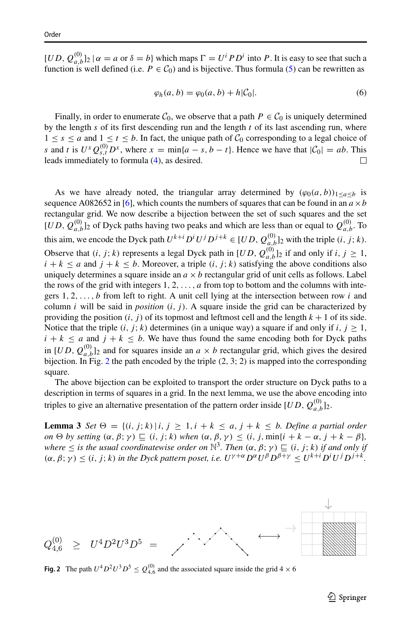$[UD, Q_{a,b}^{(0)}]_2 | \alpha = a \text{ or } \delta = b$  which maps  $\Gamma = U^i P D^i$  into *P*. It is easy to see that such a function is well defined (i.e.  $P \in C_0$ ) and is bijective. Thus formula [\(5\)](#page-5-0) can be rewritten as

$$
\varphi_h(a,b) = \varphi_0(a,b) + h|\mathcal{C}_0|.
$$
\n(6)

Finally, in order to enumerate  $C_0$ , we observe that a path  $P \in C_0$  is uniquely determined by the length *s* of its first descending run and the length *t* of its last ascending run, where  $1 \leq s \leq a$  and  $1 \leq t \leq b$ . In fact, the unique path of  $C_0$  corresponding to a legal choice of *s* and *t* is  $U^x Q_{s,t}^{(0)} D^x$ , where  $x = \min\{a - s, b - t\}$ . Hence we have that  $|\mathcal{C}_0| = ab$ . This leads immediately to formula [\(4\)](#page-5-1), as desired.

As we have already noted, the triangular array determined by  $(\varphi_0(a, b))_{1 \leq a \leq b}$  is sequence A082652 in [\[6\]](#page-14-6), which counts the numbers of squares that can be found in an  $a \times b$ rectangular grid. We now describe a bijection between the set of such squares and the set  $[UD, Q_{a,b}^{(0)}]_2$  of Dyck paths having two peaks and which are less than or equal to  $Q_{a,b}^{(0)}$ . To this aim, we encode the Dyck path  $U^{k+i}D^iU^jD^{j+k} \in [UD, Q_{a,b}^{(0)}]_2$  with the triple  $(i, j; k)$ . Observe that *(i, j; k)* represents a legal Dyck path in  $[UD, Q_{a,b}^{(0)}]_2$  if and only if *i, j*  $\geq 1$ ,  $i + k \le a$  and  $j + k \le b$ . Moreover, a triple  $(i, j; k)$  satisfying the above conditions also uniquely determines a square inside an  $a \times b$  rectangular grid of unit cells as follows. Label the rows of the grid with integers  $1, 2, \ldots, a$  from top to bottom and the columns with integers 1*,* 2*,...,b* from left to right. A unit cell lying at the intersection between row *i* and column *i* will be said in *position*  $(i, j)$ . A square inside the grid can be characterized by providing the position  $(i, j)$  of its topmost and leftmost cell and the length  $k + 1$  of its side. Notice that the triple  $(i, j; k)$  determines (in a unique way) a square if and only if  $i, j \ge 1$ ,  $i + k \le a$  and  $j + k \le b$ . We have thus found the same encoding both for Dyck paths in  $[UD, Q_{a,b}^{(0)}]_2$  and for squares inside an  $a \times b$  rectangular grid, which gives the desired bijection. In Fig. [2](#page-6-0) the path encoded by the triple *(*2*,* 3; 2*)* is mapped into the corresponding square.

The above bijection can be exploited to transport the order structure on Dyck paths to a description in terms of squares in a grid. In the next lemma, we use the above encoding into triples to give an alternative presentation of the pattern order inside  $[UD, Q_{a,b}^{(0)}]_2$ .

**Lemma 3** *Set*  $\Theta = \{(i, j; k) | i, j \ge 1, i + k \le a, j + k \le b$ *. Define a partial order*  $\alpha$   $\Theta$  *by setting*  $(\alpha, \beta; \gamma) \sqsubseteq (i, j; k)$  *when*  $(\alpha, \beta, \gamma) \leq (i, j, \min\{i + k - \alpha, j + k - \beta\},\$ *where*  $\leq$  *is the usual coordinatewise order on*  $\mathbb{N}^3$ *. Then*  $(\alpha, \beta; \gamma) \sqsubseteq (i, j; k)$  *if and only if*  $(\alpha, \beta; \gamma) \leq (i, j; k)$  in the Dyck pattern poset, i.e.  $U^{\gamma+\alpha} D^{\alpha} U^{\beta} D^{\beta+\gamma} \leq U^{k+i} D^{i} U^{j} D^{j+k}$ .

<span id="page-6-0"></span>

**Fig. 2** The path  $U^4 D^2 U^3 D^5 \le Q_{4,6}^{(0)}$  and the associated square inside the grid  $4 \times 6$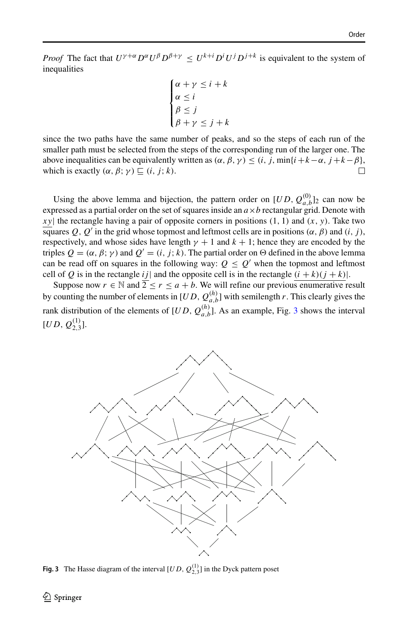*Proof* The fact that  $U^{\gamma+\alpha}D^{\alpha}U^{\beta}D^{\beta+\gamma} \leq U^{k+i}D^iU^jD^{j+k}$  is equivalent to the system of inequalities

$$
\begin{cases} \alpha + \gamma \leq i + k \\ \alpha \leq i \\ \beta \leq j \\ \beta + \gamma \leq j + k \end{cases}
$$

since the two paths have the same number of peaks, and so the steps of each run of the smaller path must be selected from the steps of the corresponding run of the larger one. The above inequalities can be equivalently written as  $(\alpha, \beta, \gamma) \leq (i, j, \min\{i + k - \alpha, j + k - \beta\})$ , which is exactly  $(\alpha, \beta; \gamma) \sqsubset (i, j; k)$ . which is exactly  $(\alpha, \beta; \gamma) \sqsubseteq (i, j; k)$ .

Using the above lemma and bijection, the pattern order on  $[UD, Q_{a,b}^{(0)}]_2$  can now be expressed as a partial order on the set of squares inside an  $a \times b$  rectangular grid. Denote with *xy*| the rectangle having a pair of opposite corners in positions *(*1*,* 1*)* and *(x, y)*. Take two squares  $Q, Q'$  in the grid whose topmost and leftmost cells are in positions  $(\alpha, \beta)$  and  $(i, j)$ , respectively, and whose sides have length  $\gamma + 1$  and  $k + 1$ ; hence they are encoded by the triples  $Q = (\alpha, \beta, \gamma)$  and  $Q' = (i, j; k)$ . The partial order on  $\Theta$  defined in the above lemma can be read off on squares in the following way:  $Q \leq Q'$  when the topmost and leftmost cell of *Q* is in the rectangle *ij* | and the opposite cell is in the rectangle  $(i + k)(j + k)$ .

Suppose now  $r \in \mathbb{N}$  and  $\overline{2} \le r \le a + b$ . We will refine our previous enumerative result by counting the number of elements in  $[UD, Q_{a,b}^{(h)}]$  with semilength *r*. This clearly gives the rank distribution of the elements of  $[UD, Q_{a,b}^{(h)}]$ . As an example, Fig. [3](#page-7-0) shows the interval  $[UD, Q_{2,3}^{(1)}].$ 

<span id="page-7-0"></span>

**Fig. 3** The Hasse diagram of the interval  $[UD, Q_{2,3}^{(1)}]$  in the Dyck pattern poset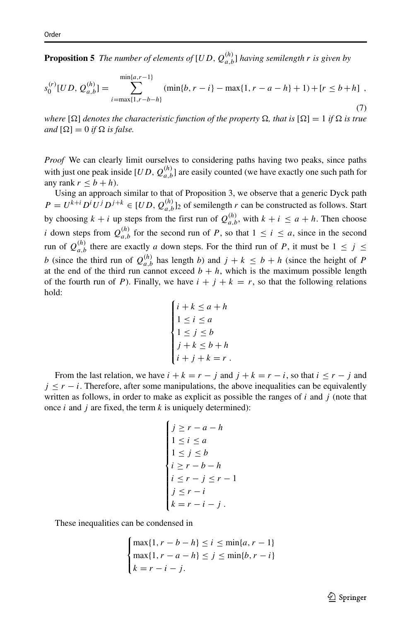**Proposition 5** The number of elements of  $[UD, Q_{a,b}^{(h)}]$  having semilength r is given by

<span id="page-8-0"></span>
$$
s_0^{(r)}[UD, Q_{a,b}^{(h)}] = \sum_{i=\max\{1, r-b-h\}}^{\min\{a, r-1\}} (\min\{b, r-i\} - \max\{1, r-a-h\} + 1) + [r \le b+h],
$$
\n(7)

*where*  $[\Omega]$  *denotes the characteristic function of the property*  $\Omega$ , *that is*  $[\Omega] = 1$  *if*  $\Omega$  *is true and*  $[\Omega] = 0$  *if*  $\Omega$  *is false.* 

*Proof* We can clearly limit ourselves to considering paths having two peaks, since paths with just one peak inside  $[UD, Q_{a,b}^{(h)}]$  are easily counted (we have exactly one such path for any rank  $r \leq b + h$ ).

Using an approach similar to that of Proposition 3, we observe that a generic Dyck path  $P = U^{k+i} D^i U^j D^{j+k} \in [UD, Q_{a,b}^{(h)}]_2$  of semilength *r* can be constructed as follows. Start by choosing  $k + i$  up steps from the first run of  $Q_{a,b}^{(h)}$ , with  $k + i \le a + h$ . Then choose *i* down steps from  $Q_{a,b}^{(h)}$  for the second run of *P*, so that  $1 \le i \le a$ , since in the second run of  $Q_{a,b}^{(h)}$  there are exactly *a* down steps. For the third run of *P*, it must be  $1 \le j \le$ *b* (since the third run of  $Q_{a,b}^{(h)}$  has length *b*) and  $j + k \leq b + h$  (since the height of *P* at the end of the third run cannot exceed  $b + h$ , which is the maximum possible length of the fourth run of *P*). Finally, we have  $i + j + k = r$ , so that the following relations hold:

$$
\begin{cases}\ni + k \le a + h \\
1 \le i \le a \\
1 \le j \le b \\
j + k \le b + h \\
i + j + k = r.\n\end{cases}
$$

From the last relation, we have  $i + k = r - j$  and  $j + k = r - i$ , so that  $i \leq r - j$  and  $j \leq r - i$ . Therefore, after some manipulations, the above inequalities can be equivalently written as follows, in order to make as explicit as possible the ranges of *i* and *j* (note that once *i* and *j* are fixed, the term *k* is uniquely determined):

$$
\begin{cases}\nj \ge r - a - h \\
1 \le i \le a \\
1 \le j \le b \\
i \ge r - b - h \\
i \le r - j \le r - 1 \\
j \le r - i \\
k = r - i - j\n\end{cases}
$$

These inequalities can be condensed in

$$
\begin{cases} \max\{1, r - b - h\} \le i \le \min\{a, r - 1\} \\ \max\{1, r - a - h\} \le j \le \min\{b, r - i\} \\ k = r - i - j. \end{cases}
$$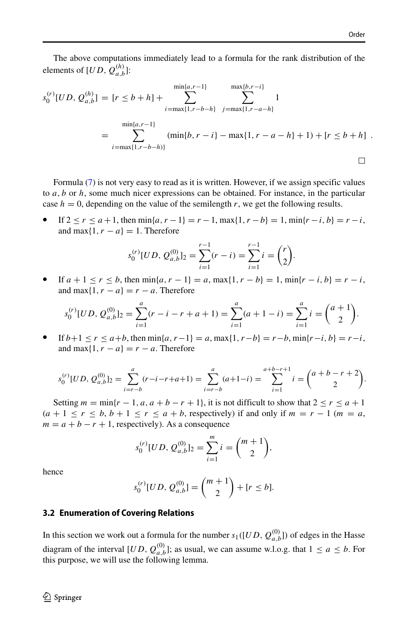The above computations immediately lead to a formula for the rank distribution of the elements of  $[UD, Q_{a,b}^{(h)}]$ :

$$
s_0^{(r)}[UD, Q_{a,b}^{(h)}] = [r \le b+h] + \sum_{i=\max\{1, r-b-h\}}^{\min\{a, r-1\}} \sum_{j=\max\{1, r-a-h\}}^{\max\{b, r-i\}} 1
$$
  
= 
$$
\sum_{i=\max\{1, r-b-h\}}^{\min\{a, r-1\}} (\min\{b, r-i\} - \max\{1, r-a-h\} + 1) + [r \le b+h]
$$

Formula [\(7\)](#page-8-0) is not very easy to read as it is written. However, if we assign specific values to *a, b* or *h*, some much nicer expressions can be obtained. For instance, in the particular case  $h = 0$ , depending on the value of the semilength r, we get the following results.

• If 2 ≤ *r* ≤ *a* +1, then min{*a, r* −1} = *r* −1, max{1*, r* −*b*} = 1, min{*r* −*i, b*} = *r* −*i*, and max $\{1, r - a\} = 1$ . Therefore

$$
s_0^{(r)}[UD, Q_{a,b}^{(0)}]_2 = \sum_{i=1}^{r-1} (r-i) = \sum_{i=1}^{r-1} i = \binom{r}{2}
$$

.

• If *a* + 1 ≤ *r* ≤ *b*, then min{*a, r* − 1} = *a*, max{1*, r* − *b*} = 1, min{*r* − *i, b*} = *r* − *i*, and max $\{1, r - a\} = r - a$ . Therefore

$$
s_0^{(r)}[UD, Q_{a,b}^{(0)}]_2 = \sum_{i=1}^a (r-i-r+a+1) = \sum_{i=1}^a (a+1-i) = \sum_{i=1}^a i = \binom{a+1}{2}.
$$

• If *b*+1 ≤ *r* ≤ *a*+*b*, then min{*a, r*−1} = *a*, max{1*, r*−*b*} = *r*−*b*, min{*r*−*i, b*} = *r*−*i*, and max $\{1, r - a\} = r - a$ . Therefore

$$
s_0^{(r)}[UD, Q_{a,b}^{(0)}]_2 = \sum_{i=r-b}^{a} (r-i-r+a+1) = \sum_{i=r-b}^{a} (a+1-i) = \sum_{i=1}^{a+b-r+1} i = \binom{a+b-r+2}{2}.
$$

Setting  $m = \min\{r-1, a, a+b-r+1\}$ , it is not difficult to show that  $2 \le r \le a+1$  $(a + 1 \le r \le b, b + 1 \le r \le a + b$ , respectively) if and only if  $m = r - 1$  ( $m = a$ ,  $m = a + b - r + 1$ , respectively). As a consequence

$$
s_0^{(r)}[UD, Q_{a,b}^{(0)}]_2 = \sum_{i=1}^m i = \binom{m+1}{2},
$$

hence

$$
s_0^{(r)}[UD, Q_{a,b}^{(0)}] = \binom{m+1}{2} + [r \le b].
$$

#### **3.2 Enumeration of Covering Relations**

In this section we work out a formula for the number  $s_1([UD, Q_{a,b}^{(0)}])$  of edges in the Hasse diagram of the interval  $[UD, Q_{a,b}^{(0)}]$ ; as usual, we can assume w.l.o.g. that  $1 \le a \le b$ . For this purpose, we will use the following lemma.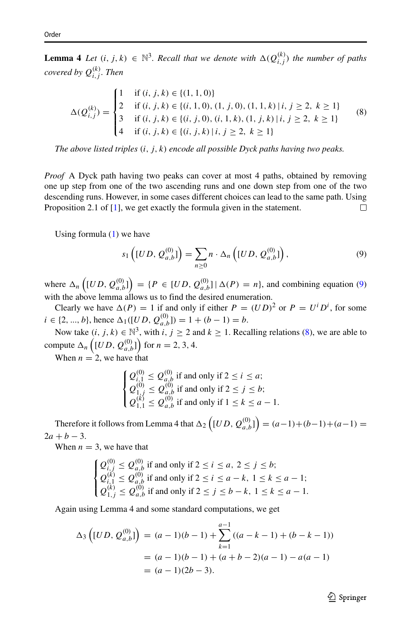**Lemma 4** *Let*  $(i, j, k) \in \mathbb{N}^3$ . Recall that we denote with  $\Delta(Q_{i,j}^{(k)})$  the number of paths *covered by*  $Q_{i,j}^{(k)}$ *. Then* 

<span id="page-10-1"></span>
$$
\Delta(Q_{i,j}^{(k)}) = \begin{cases}\n1 & \text{if } (i, j, k) \in \{(1, 1, 0)\} \\
2 & \text{if } (i, j, k) \in \{(i, 1, 0), (1, j, 0), (1, 1, k) \mid i, j \ge 2, k \ge 1\} \\
3 & \text{if } (i, j, k) \in \{(i, j, 0), (i, 1, k), (1, j, k) \mid i, j \ge 2, k \ge 1\} \\
4 & \text{if } (i, j, k) \in \{(i, j, k) \mid i, j \ge 2, k \ge 1\}\n\end{cases}
$$
\n(8)

*The above listed triples (i, j, k) encode all possible Dyck paths having two peaks.*

*Proof* A Dyck path having two peaks can cover at most 4 paths, obtained by removing one up step from one of the two ascending runs and one down step from one of the two descending runs. However, in some cases different choices can lead to the same path. Using Proposition 2.1 of [\[1\]](#page-14-1), we get exactly the formula given in the statement.  $\Box$ 

Using formula  $(1)$  we have

<span id="page-10-0"></span>
$$
s_1\left( [UD, \mathcal{Q}_{a,b}^{(0)}] \right) = \sum_{n \ge 0} n \cdot \Delta_n \left( [UD, \mathcal{Q}_{a,b}^{(0)}] \right), \tag{9}
$$

where  $\Delta_n \left( [UD, Q_{a,b}^{(0)}] \right) = \{ P \in [UD, Q_{a,b}^{(0)}] | \Delta(P) = n \}$ , and combining equation [\(9\)](#page-10-0) with the above lemma allows us to find the desired enumeration.

Clearly we have  $\Delta(P) = 1$  if and only if either  $P = (UD)^2$  or  $P = U^i D^i$ , for some  $i \in \{2, ..., b\}$ , hence  $\Delta_1([UD, Q_{a,b}^{(0)}]) = 1 + (b - 1) = b$ .

Now take  $(i, j, k) \in \mathbb{N}^3$ , with  $i, j \ge 2$  and  $k \ge 1$ . Recalling relations [\(8\)](#page-10-1), we are able to compute  $\Delta_n \left( [UD, Q_{a,b}^{(0)}] \right)$  for  $n = 2, 3, 4$ .

When  $n = 2$ , we have that

$$
\begin{cases}\nQ_{i,1}^{(0)} \leq Q_{a,b}^{(0)} \text{ if and only if } 2 \leq i \leq a; \\
Q_{1,j}^{(0)} \leq Q_{a,b}^{(0)} \text{ if and only if } 2 \leq j \leq b; \\
Q_{1,1}^{(k)} \leq Q_{a,b}^{(0)} \text{ if and only if } 1 \leq k \leq a - 1.\n\end{cases}
$$

Therefore it follows from Lemma 4 that  $\Delta_2 \left( [UD, Q_{a,b}^{(0)}] \right) = (a-1)+(b-1)+(a-1) =$  $2a + b - 3.$ 

When  $n = 3$ , we have that

$$
\begin{cases}\nQ_{i,j}^{(0)} \leq Q_{a,b}^{(0)} \text{ if and only if } 2 \leq i \leq a, \ 2 \leq j \leq b; \\
Q_{i,1}^{(k)} \leq Q_{a,b}^{(0)} \text{ if and only if } 2 \leq i \leq a - k, \ 1 \leq k \leq a - 1; \\
Q_{1,j}^{(k)} \leq Q_{a,b}^{(0)} \text{ if and only if } 2 \leq j \leq b - k, \ 1 \leq k \leq a - 1.\n\end{cases}
$$

Again using Lemma 4 and some standard computations, we get

$$
\Delta_3 \left( [UD, Q_{a,b}^{(0)}] \right) = (a-1)(b-1) + \sum_{k=1}^{a-1} ((a-k-1) + (b-k-1))
$$
  
= (a-1)(b-1) + (a+b-2)(a-1) - a(a-1)  
= (a-1)(2b-3).

 $\textcircled{2}$  Springer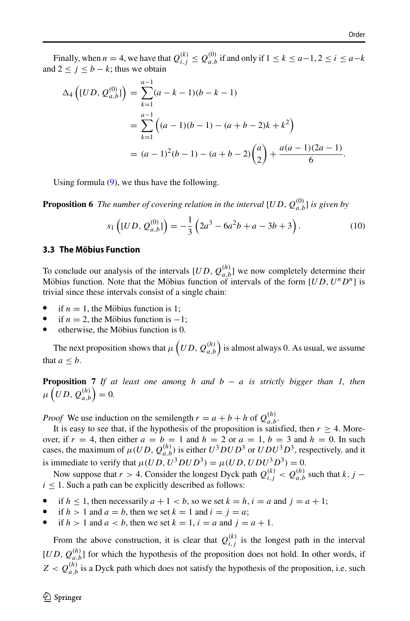Finally, when  $n = 4$ , we have that  $Q_{i,j}^{(k)} \le Q_{a,b}^{(0)}$  if and only if  $1 \le k \le a-1, 2 \le i \le a-k$ and  $2 \le j \le b - k$ ; thus we obtain

$$
\Delta_4 \left( [UD, Q_{a,b}^{(0)}] \right) = \sum_{k=1}^{a-1} (a - k - 1)(b - k - 1)
$$
  
= 
$$
\sum_{k=1}^{a-1} \left( (a - 1)(b - 1) - (a + b - 2)k + k^2 \right)
$$
  
= 
$$
(a - 1)^2 (b - 1) - (a + b - 2) \left( \frac{a}{2} \right) + \frac{a(a - 1)(2a - 1)}{6}.
$$

Using formula [\(9\)](#page-10-0), we thus have the following.

**Proposition 6** The number of covering relation in the interval  $[UD, Q_{a,b}^{(0)}]$  is given by

$$
s_1\left( [UD, \mathcal{Q}_{a,b}^{(0)}] \right) = -\frac{1}{3} \left( 2a^3 - 6a^2b + a - 3b + 3 \right). \tag{10}
$$

#### **3.3 The Mobius Function ¨**

To conclude our analysis of the intervals  $[UD, Q_{a,b}^{(h)}]$  we now completely determine their Möbius function. Note that the Möbius function of intervals of the form  $[UD, U^n D^n]$  is trivial since these intervals consist of a single chain:

- if  $n = 1$ , the Möbius function is 1;<br>• if  $n = 2$  the Möbius function is –
- if  $n = 2$ , the Möbius function is  $-1$ ;
- otherwise, the Möbius function is 0.

The next proposition shows that  $\mu\left(UD, Q_{a,b}^{(h)}\right)$  is almost always 0. As usual, we assume that  $a < b$ .

**Proposition 7** *If at least one among h and b* − *a is strictly bigger than 1, then*  $\mu\left( UD,\mathcal{Q}_{a,b}^{(h)}\right) =0.$ 

*Proof* We use induction on the semilength  $r = a + b + h$  of  $Q_{a,b}^{(h)}$ .

It is easy to see that, if the hypothesis of the proposition is satisfied, then  $r \geq 4$ . Moreover, if  $r = 4$ , then either  $a = b = 1$  and  $h = 2$  or  $a = 1$ ,  $b = 3$  and  $h = 0$ . In such cases, the maximum of  $\mu(UD, Q_{a,b}^{(h)})$  is either  $U^3DUD^3$  or  $UDU^3D^3$ , respectively. and it is immediate to verify that  $\mu(UD, U^3DUD^3) = \mu(UD, UDU^3D^3) = 0$ .

Now suppose that *r* > 4. Consider the longest Dyck path  $Q_{i,j}^{(k)} < Q_{a,b}^{(h)}$  such that *k*, *j* –  $i \leq 1$ . Such a path can be explicitly described as follows:

- if  $h \leq 1$ , then necessarily  $a + 1 < b$ , so we set  $k = h$ ,  $i = a$  and  $j = a + 1$ ;
- if  $h > 1$  and  $a = b$ , then we set  $k = 1$  and  $i = j = a$ ;
- if  $h > 1$  and  $a < b$ , then we set  $k = 1$ ,  $i = a$  and  $j = a + 1$ .

From the above construction, it is clear that  $Q_{i,j}^{(k)}$  is the longest path in the interval  $[UD, Q_{a,b}^{(h)}]$  for which the hypothesis of the proposition does not hold. In other words, if  $Z < Q_{a,b}^{(h)}$  is a Dyck path which does not satisfy the hypothesis of the proposition, i.e. such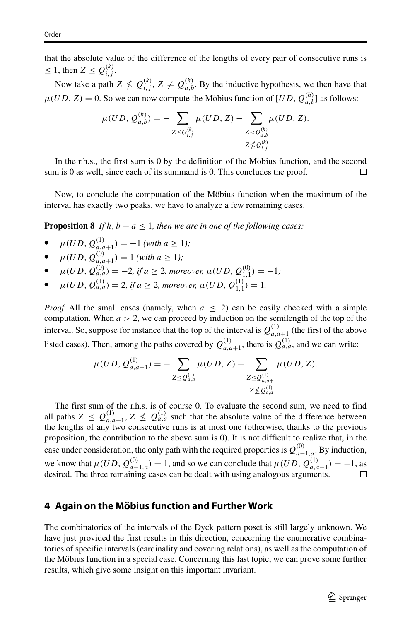that the absolute value of the difference of the lengths of every pair of consecutive runs is  $\leq 1$ , then  $Z \leq Q_{i,j}^{(k)}$ .

Now take a path  $Z \nleq Q_{i,j}^{(k)}$ ,  $Z \neq Q_{a,b}^{(h)}$ . By the inductive hypothesis, we then have that  $\mu(UD, Z) = 0$ . So we can now compute the Möbius function of  $[UD, Q_{a,b}^{(h)}]$  as follows:

$$
\mu(UD, Q_{a,b}^{(h)}) = -\sum_{Z \leq Q_{i,j}^{(k)}} \mu(UD, Z) - \sum_{Z < Q_{a,b}^{(h)}} \mu(UD, Z).
$$
\n
$$
z \nleq Q_{i,j}^{(k)}
$$
\n
$$
z \nleq Q_{i,j}^{(k)}
$$

In the r.h.s., the first sum is  $0$  by the definition of the Möbius function, and the second sum is 0 as well, since each of its summand is 0. This concludes the proof.  $\Box$ 

Now, to conclude the computation of the Möbius function when the maximum of the interval has exactly two peaks, we have to analyze a few remaining cases.

**Proposition 8** *If*  $h, b - a \leq 1$ *, then we are in one of the following cases:* 

- $\mu(UD, Q_{a,a+1}^{(1)}) = -1$  *(with a*  $\geq 1$ *);*
- $\mu(UD, Q_{a,a+1}^{(0)}) = 1$  *(with a*  $\geq 1$ *);*
- $\bullet$  *μ*(*UD*,  $Q_{a,a}^{(0)}$ ) = −2*, if a* ≥ 2*, moreover, μ*(*UD*,  $Q_{1,1}^{(0)}$ ) = −1*;*
- $\mu(UD, Q_{a,a}^{(1)}) = 2$ , if  $a \geq 2$ , moreover,  $\mu(UD, Q_{1,1}^{(1)}) = 1$ .

*Proof* All the small cases (namely, when  $a \leq 2$ ) can be easily checked with a simple computation. When  $a > 2$ , we can proceed by induction on the semilength of the top of the interval. So, suppose for instance that the top of the interval is  $Q_{a,a+1}^{(1)}$  (the first of the above listed cases). Then, among the paths covered by  $Q_{a,a+1}^{(1)}$ , there is  $Q_{a,a}^{(1)}$ , and we can write:

$$
\mu(UD, \mathcal{Q}_{a,a+1}^{(1)}) = -\sum_{Z \leq \mathcal{Q}_{a,a}^{(1)}} \mu(UD, Z) - \sum_{\substack{Z \leq \mathcal{Q}_{a,a+1}^{(1)} \\ Z \nleq \mathcal{Q}_{a,a}^{(1)}}} \mu(UD, Z).
$$

The first sum of the r.h.s. is of course 0. To evaluate the second sum, we need to find all paths  $Z \leq Q_{a,a+1}^{(1)}$ ,  $Z \nleq Q_{a,a}^{(1)}$  such that the absolute value of the difference between the lengths of any two consecutive runs is at most one (otherwise, thanks to the previous proposition, the contribution to the above sum is 0). It is not difficult to realize that, in the case under consideration, the only path with the required properties is  $Q_{a-1,a}^{(0)}$ . By induction, we know that  $\mu(UD, Q_{a-1,a}^{(0)}) = 1$ , and so we can conclude that  $\mu(UD, Q_{a,a+1}^{(1)}) = -1$ , as desired. The three remaining cases can be dealt with using analogous arguments.

## **4 Again on the Mobius function and Further Work ¨**

The combinatorics of the intervals of the Dyck pattern poset is still largely unknown. We have just provided the first results in this direction, concerning the enumerative combinatorics of specific intervals (cardinality and covering relations), as well as the computation of the Möbius function in a special case. Concerning this last topic, we can prove some further results, which give some insight on this important invariant.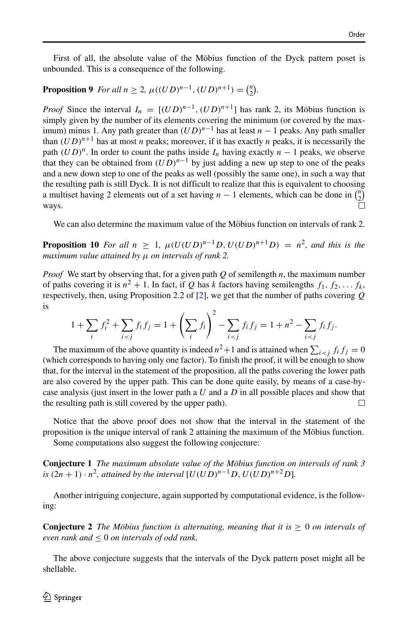First of all, the absolute value of the Möbius function of the Dyck pattern poset is unbounded. This is a consequence of the following.

# **Proposition 9** *For all*  $n \ge 2$ ,  $\mu((UD)^{n-1}, (UD)^{n+1}) = {n \choose 2}$ .

*Proof* Since the interval  $I_n = [(UD)^{n-1}, (UD)^{n+1}]$  has rank 2, its Möbius function is simply given by the number of its elements covering the minimum (or covered by the maximum) minus 1. Any path greater than  $(UD)^{n-1}$  has at least  $n-1$  peaks. Any path smaller than  $(UD)^{n+1}$  has at most *n* peaks; moreover, if it has exactly *n* peaks, it is necessarily the path  $(UD)^n$ . In order to count the paths inside  $I_n$  having exactly  $n-1$  peaks, we observe that they can be obtained from  $(UD)^{n-1}$  by just adding a new up step to one of the peaks and a new down step to one of the peaks as well (possibly the same one), in such a way that the resulting path is still Dyck. It is not difficult to realize that this is equivalent to choosing a multiset having 2 elements out of a set having  $n - 1$  elements, which can be done in  $\binom{n}{2}$ ways.

We can also determine the maximum value of the Möbius function on intervals of rank 2.

**Proposition 10** *For all*  $n \geq 1$ ,  $\mu(U(UD)^{n-1}D, U(UD)^{n+1}D) = n^2$ , and this is the *maximum value attained by μ on intervals of rank 2.*

*Proof* We start by observing that, for a given path *Q* of semilength *n*, the maximum number of paths covering it is  $n^2 + 1$ . In fact, if *Q* has *k* factors having semilengths  $f_1, f_2, \ldots, f_k$ , respectively, then, using Proposition 2.2 of [\[2\]](#page-14-0), we get that the number of paths covering *Q* is

$$
1 + \sum_{i} f_i^2 + \sum_{i < j} f_i f_j = 1 + \left(\sum_{i} f_i\right)^2 - \sum_{i < j} f_i f_j = 1 + n^2 - \sum_{i < j} f_i f_j.
$$

The maximum of the above quantity is indeed  $n^2 + 1$  and is attained when  $\sum_{i < j} f_i f_j = 0$ (which corresponds to having only one factor). To finish the proof, it will be enough to show that, for the interval in the statement of the proposition, all the paths covering the lower path are also covered by the upper path. This can be done quite easily, by means of a case-bycase analysis (just insert in the lower path a *U* and a *D* in all possible places and show that the resulting path is still covered by the upper path).  $\Box$ 

Notice that the above proof does not show that the interval in the statement of the proposition is the unique interval of rank 2 attaining the maximum of the Möbius function.

Some computations also suggest the following conjecture:

**Conjecture 1** *The maximum absolute value of the Mobius function on intervals of rank 3 ¨ is*  $(2n + 1) \cdot n^2$ , attained by the interval  $[U(UD)^{n-1}D, U(UD)^{n+2}D]$ .

Another intriguing conjecture, again supported by computational evidence, is the following:

**Conjecture 2** *The Möbius function is alternating, meaning that it is*  $\geq 0$  *on intervals of even rank and*  $\leq 0$  *on intervals of odd rank.* 

The above conjecture suggests that the intervals of the Dyck pattern poset might all be shellable.